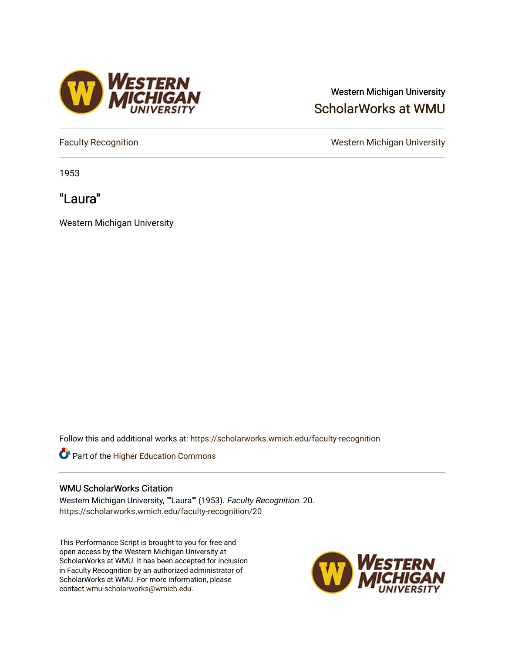## Western Michigan University [ScholarWorks at WMU](https://scholarworks.wmich.edu/)

1953

"Laura"

Western Michigan University

Follow this and additional works at: [https://scholarworks.wmich.edu/faculty-recognition](https://scholarworks.wmich.edu/faculty-recognition?utm_source=scholarworks.wmich.edu%2Ffaculty-recognition%2F20&utm_medium=PDF&utm_campaign=PDFCoverPages)



## WMU ScholarWorks Citation

Western Michigan University, ""Laura"" (1953). Faculty Recognition. 20. [https://scholarworks.wmich.edu/faculty-recognition/20](https://scholarworks.wmich.edu/faculty-recognition/20?utm_source=scholarworks.wmich.edu%2Ffaculty-recognition%2F20&utm_medium=PDF&utm_campaign=PDFCoverPages) 

This Performance Script is brought to you for free and open access by the Western Michigan University at ScholarWorks at WMU. It has been accepted for inclusion in Faculty Recognition by an authorized administrator of ScholarWorks at WMU. For more information, please contact [wmu-scholarworks@wmich.edu](mailto:wmu-scholarworks@wmich.edu).





[Faculty Recognition](https://scholarworks.wmich.edu/faculty-recognition) **National Contract Except** Contract Contract Contract Contract Contract Contract Contract Contract Contract Contract Contract Contract Contract Contract Contract Contract Contract Contract Contract Cont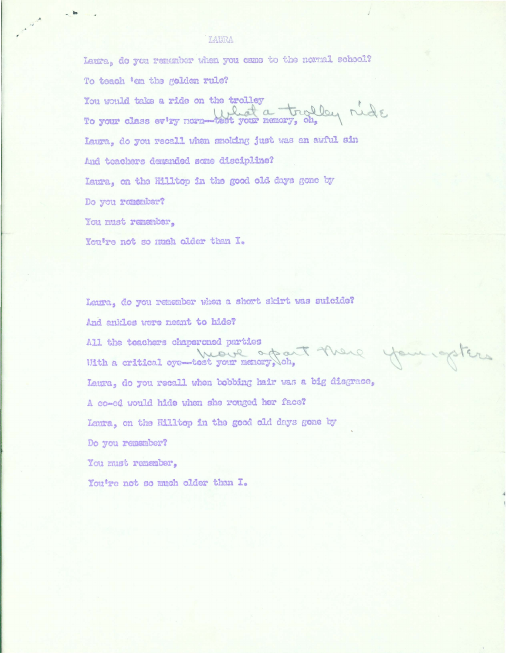## LAURA

Laura, do you remember when you came to the normal school? To teach 'en the golden rule? You would take a ride on the trolley<br>To your class every normalist your namory, ob, Laura. do you recall when smoking just was an awful sin And teachers demanded some discipline? Laura, on the Hilltop in the good old days gone by Do you romenber? You must remember, You're not so much older than I.

Laura, do you remember when a short skirt was suicide? And ankles were neant to hide? All the teachers chaperoned parties<br>Me ve offait there you getters Laura, do you recall when bobbing hair was a big disgrace, A co-ed would hide when she rouged her face? Laura, on the Hilltop in the good old days gone by Do you remamber?

You must remember.

You're not so much older than I.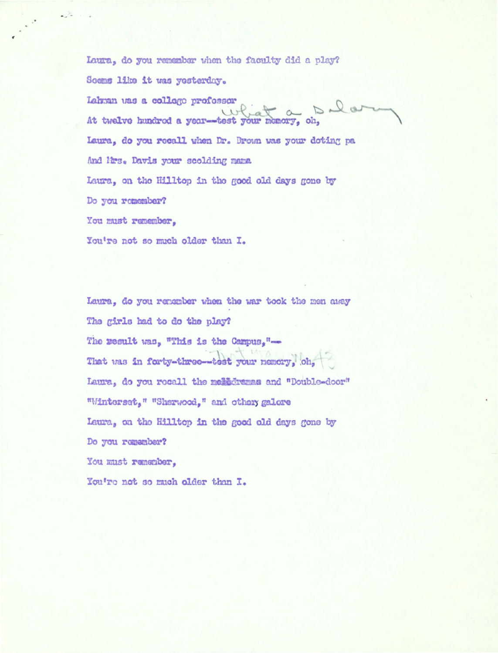Laura, do you remember when the faculty did a play? Soems like it was yesterday. Lahman was a college professor At twelve hundred a year-test your memory, oh, Laura, do you recall when Dr. Brown was your doting pa And Mrs. Davis your scolding mana Laura, on the Hilltop in the good old days gone by Do you remember? You must remember.

 $\sim$ 

Laura, do you remember when the war took the men away The girls had to do the play? The result was, "This is the Campus,"-That was in forty-three--test your nemory, oh, Laura, do you recall the medicinana and "Double-door" "Winterset," "Sherwood," and othery galore Laura, on the Hilltop in the good old days gone by Do you remember? You must remember, You're not so much older than I.

You're not so much older than I.